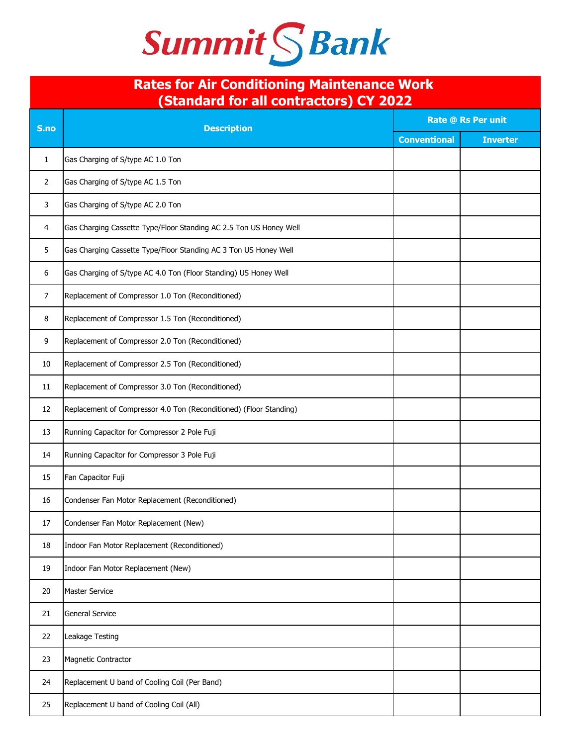## Summit S Bank

## **Rates for Air Conditioning Maintenance Work (Standard for all contractors) CY 2022**

| S.no           | Stanuaru for all contractors) UT 2022<br><b>Description</b>        | <b>Rate @ Rs Per unit</b> |                 |
|----------------|--------------------------------------------------------------------|---------------------------|-----------------|
|                |                                                                    | <b>Conventional</b>       | <b>Inverter</b> |
| 1              | Gas Charging of S/type AC 1.0 Ton                                  |                           |                 |
| $\overline{2}$ | Gas Charging of S/type AC 1.5 Ton                                  |                           |                 |
| 3              | Gas Charging of S/type AC 2.0 Ton                                  |                           |                 |
| 4              | Gas Charging Cassette Type/Floor Standing AC 2.5 Ton US Honey Well |                           |                 |
| 5              | Gas Charging Cassette Type/Floor Standing AC 3 Ton US Honey Well   |                           |                 |
| 6              | Gas Charging of S/type AC 4.0 Ton (Floor Standing) US Honey Well   |                           |                 |
| 7              | Replacement of Compressor 1.0 Ton (Reconditioned)                  |                           |                 |
| 8              | Replacement of Compressor 1.5 Ton (Reconditioned)                  |                           |                 |
| 9              | Replacement of Compressor 2.0 Ton (Reconditioned)                  |                           |                 |
| 10             | Replacement of Compressor 2.5 Ton (Reconditioned)                  |                           |                 |
| 11             | Replacement of Compressor 3.0 Ton (Reconditioned)                  |                           |                 |
| 12             | Replacement of Compressor 4.0 Ton (Reconditioned) (Floor Standing) |                           |                 |
| 13             | Running Capacitor for Compressor 2 Pole Fuji                       |                           |                 |
| 14             | Running Capacitor for Compressor 3 Pole Fuji                       |                           |                 |
| 15             | Fan Capacitor Fuji                                                 |                           |                 |
| 16             | Condenser Fan Motor Replacement (Reconditioned)                    |                           |                 |
| 17             | Condenser Fan Motor Replacement (New)                              |                           |                 |
| 18             | Indoor Fan Motor Replacement (Reconditioned)                       |                           |                 |
| 19             | Indoor Fan Motor Replacement (New)                                 |                           |                 |
| 20             | <b>Master Service</b>                                              |                           |                 |
| 21             | <b>General Service</b>                                             |                           |                 |
| 22             | Leakage Testing                                                    |                           |                 |
| 23             | Magnetic Contractor                                                |                           |                 |
| 24             | Replacement U band of Cooling Coil (Per Band)                      |                           |                 |
| 25             | Replacement U band of Cooling Coil (All)                           |                           |                 |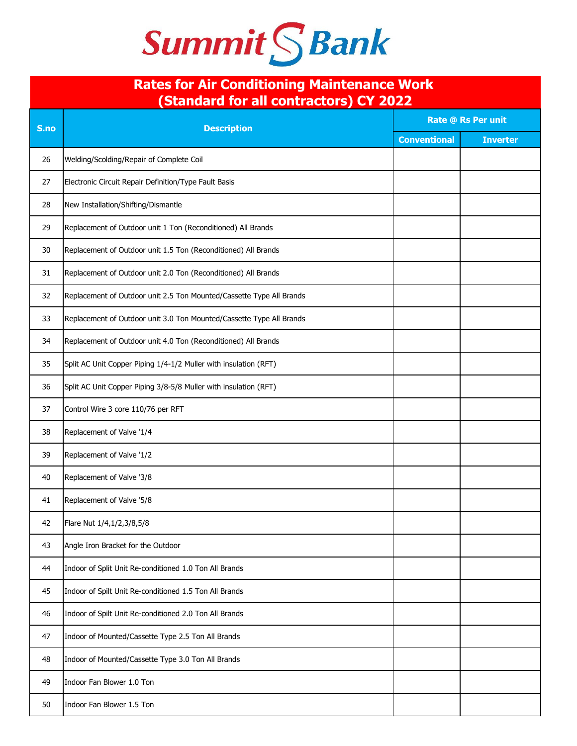

## **Rates for Air Conditioning Maintenance Work (Standard for all contractors) CY 2022**

| S.no | <b>Standard Tor an Contractors, CT 2022</b><br><b>Description</b>    | <b>Rate @ Rs Per unit</b> |                 |
|------|----------------------------------------------------------------------|---------------------------|-----------------|
|      |                                                                      | <b>Conventional</b>       | <b>Inverter</b> |
| 26   | Welding/Scolding/Repair of Complete Coil                             |                           |                 |
| 27   | Electronic Circuit Repair Definition/Type Fault Basis                |                           |                 |
| 28   | New Installation/Shifting/Dismantle                                  |                           |                 |
| 29   | Replacement of Outdoor unit 1 Ton (Reconditioned) All Brands         |                           |                 |
| 30   | Replacement of Outdoor unit 1.5 Ton (Reconditioned) All Brands       |                           |                 |
| 31   | Replacement of Outdoor unit 2.0 Ton (Reconditioned) All Brands       |                           |                 |
| 32   | Replacement of Outdoor unit 2.5 Ton Mounted/Cassette Type All Brands |                           |                 |
| 33   | Replacement of Outdoor unit 3.0 Ton Mounted/Cassette Type All Brands |                           |                 |
| 34   | Replacement of Outdoor unit 4.0 Ton (Reconditioned) All Brands       |                           |                 |
| 35   | Split AC Unit Copper Piping 1/4-1/2 Muller with insulation (RFT)     |                           |                 |
| 36   | Split AC Unit Copper Piping 3/8-5/8 Muller with insulation (RFT)     |                           |                 |
| 37   | Control Wire 3 core 110/76 per RFT                                   |                           |                 |
| 38   | Replacement of Valve '1/4                                            |                           |                 |
| 39   | Replacement of Valve '1/2                                            |                           |                 |
| 40   | Replacement of Valve '3/8                                            |                           |                 |
| 41   | Replacement of Valve '5/8                                            |                           |                 |
| 42   | Flare Nut 1/4,1/2,3/8,5/8                                            |                           |                 |
| 43   | Angle Iron Bracket for the Outdoor                                   |                           |                 |
| 44   | Indoor of Split Unit Re-conditioned 1.0 Ton All Brands               |                           |                 |
| 45   | Indoor of Spilt Unit Re-conditioned 1.5 Ton All Brands               |                           |                 |
| 46   | Indoor of Spilt Unit Re-conditioned 2.0 Ton All Brands               |                           |                 |
| 47   | Indoor of Mounted/Cassette Type 2.5 Ton All Brands                   |                           |                 |
| 48   | Indoor of Mounted/Cassette Type 3.0 Ton All Brands                   |                           |                 |
| 49   | Indoor Fan Blower 1.0 Ton                                            |                           |                 |
| 50   | Indoor Fan Blower 1.5 Ton                                            |                           |                 |